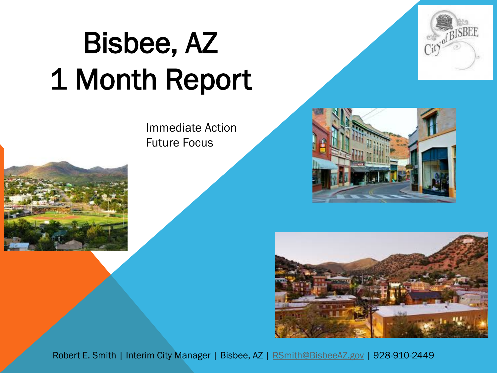## Bisbee, AZ 1 Month Report

Immediate Action Future Focus







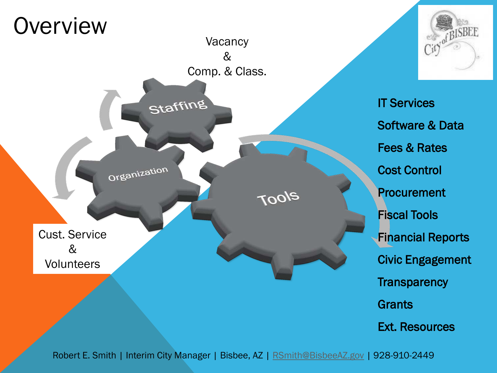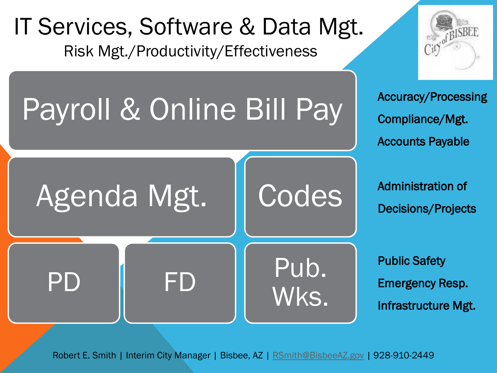#### IT Services, Software & Data Mgt. Risk Mgt./Productivity/Effectiveness

## Payroll & Online Bill Pay

## Agenda Mgt.

PD FD

Accuracy/Processing Compliance/Mgt. Accounts Payable

Administration of Decisions/Projects

Public Safety Emergency Resp. Infrastructure Mgt.

Robert E. Smith | Interim City Manager | Bisbee, AZ | [RSmith@BisbeeAZ.gov](mailto:RSmith@BisbeeAZ.gov) | 928-910-2449

Codes

Pub.

Wks.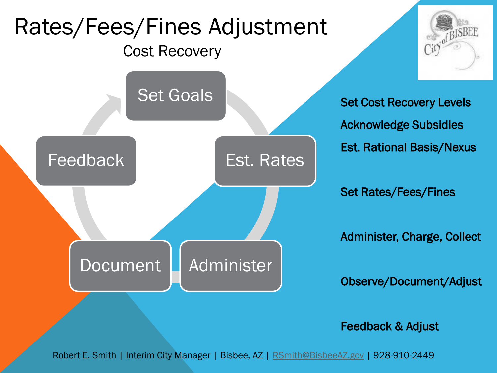#### Rates/Fees/Fines Adjustment Cost Recovery





Set Cost Recovery Levels Acknowledge Subsidies Est. Rational Basis/Nexus

Set Rates/Fees/Fines

Administer, Charge, Collect

Observe/Document/Adjust

Feedback & Adjust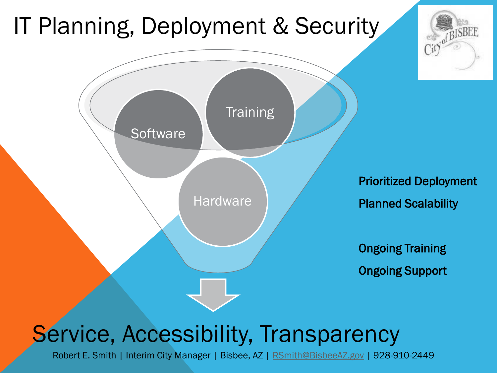## IT Planning, Deployment & Security



#### Service, Accessibility, Transparency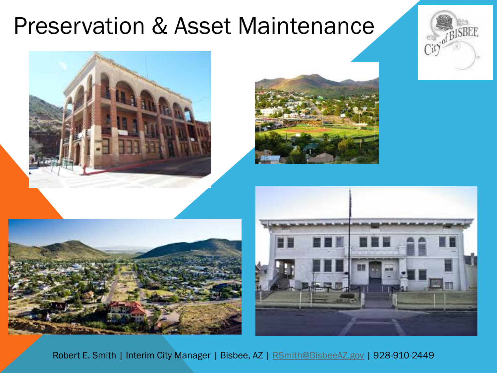#### Preservation & Asset Maintenance







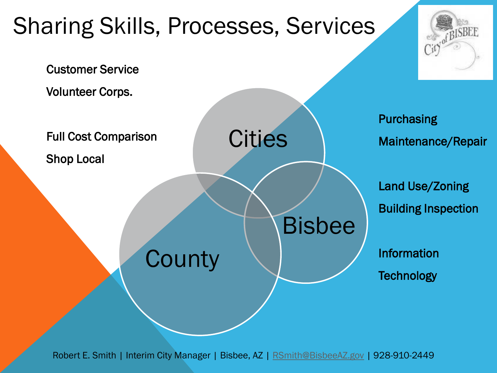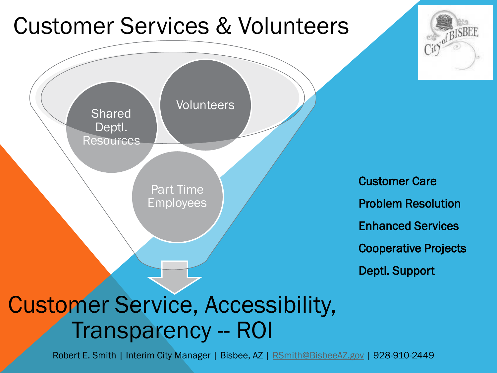#### Customer Services & Volunteers



Customer Care Problem Resolution Enhanced Services Cooperative Projects Deptl. Support

BISBEE

### Customer Service, Accessibility, Transparency -- ROI

Robert E. Smith | Interim City Manager | Bisbee, AZ | [RSmith@BisbeeAZ.gov](mailto:RSmith@BisbeeAZ.gov) | 928-910-2449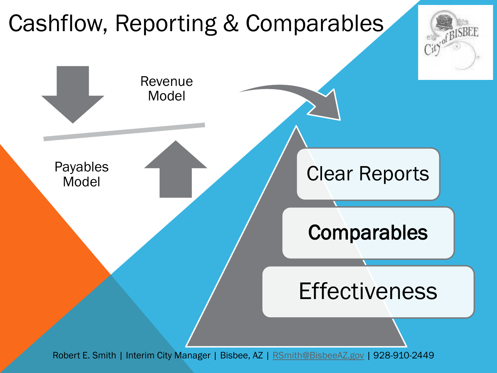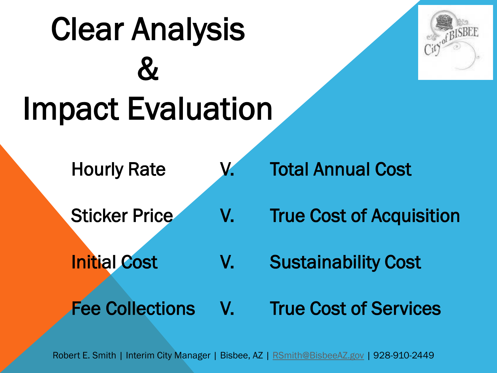## Clear Analysis  $\boldsymbol{\alpha}$ Impact Evaluation



- 
- 
- 
- Hourly Rate V. Total Annual Cost
- Sticker Price V. True Cost of Acquisition
- Initial Cost V. Sustainability Cost
- Fee Collections V. True Cost of Services

Robert E. Smith | Interim City Manager | Bisbee, AZ | [RSmith@BisbeeAZ.gov](mailto:RSmith@BisbeeAZ.gov) | 928-910-2449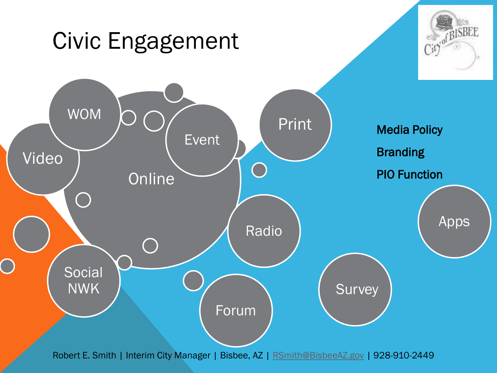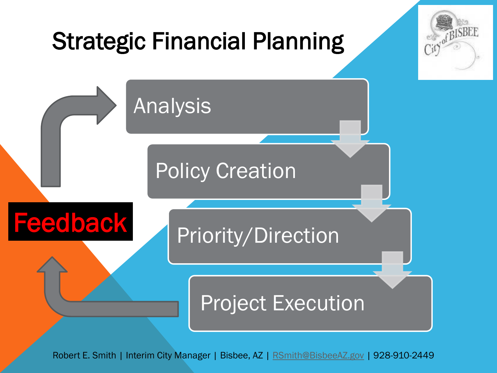

Robert E. Smith | Interim City Manager | Bisbee, AZ | [RSmith@BisbeeAZ.gov](mailto:RSmith@BisbeeAZ.gov) | 928-910-2449